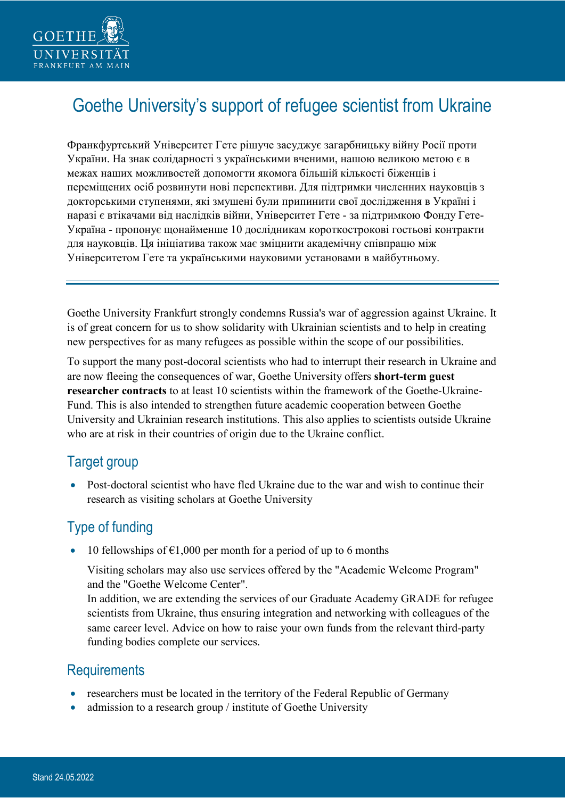

# Goethe University's support of refugee scientist from Ukraine

Франкфуртський Університет Гете рішуче засуджує загарбницьку війну Росії проти України. На знак солідарності з українськими вченими, нашою великою метою є в межах наших можливостей допомогти якомога більшій кількості біженців і переміщених осіб розвинути нові перспективи. Для підтримки численних науковців з докторськими ступенями, які змушені були припинити свої дослідження в Україні і наразі є втікачами від наслідків війни, Університет Гете - за підтримкою Фонду Гете-Україна - пропонує щонайменше 10 дослідникам короткострокові гостьові контракти для науковців. Ця ініціатива також має зміцнити академічну співпрацю між Університетом Гете та українськими науковими установами в майбутньому.

Goethe University Frankfurt strongly condemns Russia's war of aggression against Ukraine. It is of great concern for us to show solidarity with Ukrainian scientists and to help in creating new perspectives for as many refugees as possible within the scope of our possibilities.

To support the many post-docoral scientists who had to interrupt their research in Ukraine and are now fleeing the consequences of war, Goethe University offers **short-term guest researcher contracts** to at least 10 scientists within the framework of the Goethe-Ukraine-Fund. This is also intended to strengthen future academic cooperation between Goethe University and Ukrainian research institutions. This also applies to scientists outside Ukraine who are at risk in their countries of origin due to the Ukraine conflict.

#### Target group

• Post-doctoral scientist who have fled Ukraine due to the war and wish to continue their research as visiting scholars at Goethe University

## Type of funding

10 fellowships of  $\epsilon$ 1,000 per month for a period of up to 6 months

Visiting scholars may also use services offered by the "Academic Welcome Program" and the "Goethe Welcome Center".

In addition, we are extending the services of our Graduate Academy GRADE for refugee scientists from Ukraine, thus ensuring integration and networking with colleagues of the same career level. Advice on how to raise your own funds from the relevant third-party funding bodies complete our services.

### **Requirements**

- researchers must be located in the territory of the Federal Republic of Germany
- admission to a research group / institute of Goethe University

÷